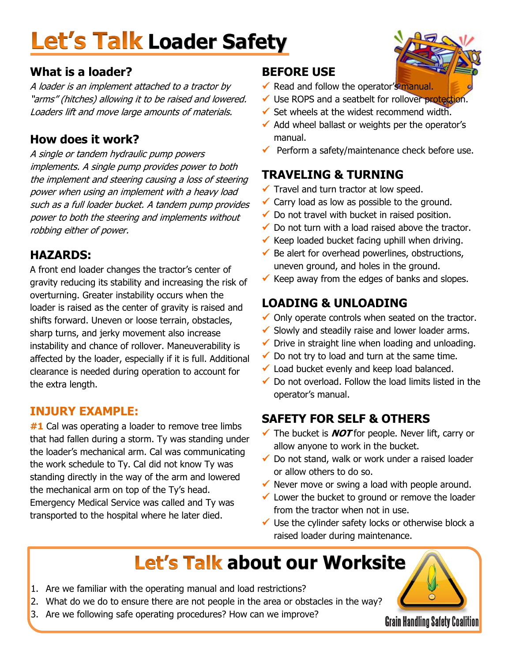# **Let's Talk Loader Safety**

#### **What is a loader?**

A loader is an implement attached to a tractor by "arms" (hitches) allowing it to be raised and lowered. Loaders lift and move large amounts of materials.

#### **How does it work?**

A single or tandem hydraulic pump powers implements. A single pump provides power to both the implement and steering causing a loss of steering power when using an implement with a heavy load such as a full loader bucket. A tandem pump provides power to both the steering and implements without robbing either of power.

#### **HAZARDS:**

A front end loader changes the tractor's center of gravity reducing its stability and increasing the risk of overturning. Greater instability occurs when the loader is raised as the center of gravity is raised and shifts forward. Uneven or loose terrain, obstacles, sharp turns, and jerky movement also increase instability and chance of rollover. Maneuverability is affected by the loader, especially if it is full. Additional clearance is needed during operation to account for the extra length.

#### **INJURY EXAMPLE:**

**#1** Cal was operating a loader to remove tree limbs that had fallen during a storm. Ty was standing under the loader's mechanical arm. Cal was communicating the work schedule to Ty. Cal did not know Ty was standing directly in the way of the arm and lowered the mechanical arm on top of the Ty's head. Emergency Medical Service was called and Ty was transported to the hospital where he later died.

#### **BEFORE USE**

- Read and follow the operator's manual.
- ◆ Use ROPS and a seatbelt for rollover protection.
- $\checkmark$  Set wheels at the widest recommend width.
- $\checkmark$  Add wheel ballast or weights per the operator's manual.
- $\checkmark$  Perform a safety/maintenance check before use.

#### **TRAVELING & TURNING**

- $\checkmark$  Travel and turn tractor at low speed.
- $\checkmark$  Carry load as low as possible to the ground.
- $\checkmark$  Do not travel with bucket in raised position.
- $\checkmark$  Do not turn with a load raised above the tractor.
- $\checkmark$  Keep loaded bucket facing uphill when driving.
- $\checkmark$  Be alert for overhead powerlines, obstructions, uneven ground, and holes in the ground.
- $\checkmark$  Keep away from the edges of banks and slopes.

#### **LOADING & UNLOADING**

- $\checkmark$  Only operate controls when seated on the tractor.
- $\checkmark$  Slowly and steadily raise and lower loader arms.
- $\checkmark$  Drive in straight line when loading and unloading.
- $\checkmark$  Do not try to load and turn at the same time.
- $\checkmark$  Load bucket evenly and keep load balanced.
- $\checkmark$  Do not overload. Follow the load limits listed in the operator's manual.

#### **SAFETY FOR SELF & OTHERS**

- The bucket is **NOT** for people. Never lift, carry or allow anyone to work in the bucket.
- $\checkmark$  Do not stand, walk or work under a raised loader or allow others to do so.
- $\checkmark$  Never move or swing a load with people around.
- $\checkmark$  Lower the bucket to ground or remove the loader from the tractor when not in use.
- $\checkmark$  Use the cylinder safety locks or otherwise block a raised loader during maintenance.

## **Let's Talk about our Worksite**

- 1. Are we familiar with the operating manual and load restrictions?
- 2. What do we do to ensure there are not people in the area or obstacles in the way?
- 3. Are we following safe operating procedures? How can we improve?

**Grain Handling Safety Coalition**